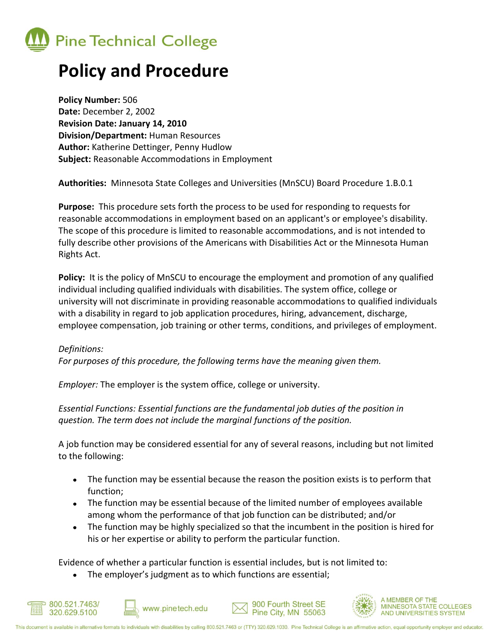

# **Policy and Procedure**

**Policy Number:** 506 **Date:** December 2, 2002 **Revision Date: January 14, 2010 Division/Department:** Human Resources **Author:** Katherine Dettinger, Penny Hudlow **Subject:** Reasonable Accommodations in Employment

**Authorities:** Minnesota State Colleges and Universities (MnSCU) Board Procedure 1.B.0.1

**Purpose:** This procedure sets forth the process to be used for responding to requests for reasonable accommodations in employment based on an applicant's or employee's disability. The scope of this procedure is limited to reasonable accommodations, and is not intended to fully describe other provisions of the Americans with Disabilities Act or the Minnesota Human Rights Act.

**Policy:** It is the policy of MnSCU to encourage the employment and promotion of any qualified individual including qualified individuals with disabilities. The system office, college or university will not discriminate in providing reasonable accommodations to qualified individuals with a disability in regard to job application procedures, hiring, advancement, discharge, employee compensation, job training or other terms, conditions, and privileges of employment.

### *Definitions:*

*For purposes of this procedure, the following terms have the meaning given them.*

*Employer:* The employer is the system office, college or university.

*Essential Functions: Essential functions are the fundamental job duties of the position in question. The term does not include the marginal functions of the position.*

A job function may be considered essential for any of several reasons, including but not limited to the following:

- The function may be essential because the reason the position exists is to perform that function;
- The function may be essential because of the limited number of employees available among whom the performance of that job function can be distributed; and/or
- The function may be highly specialized so that the incumbent in the position is hired for his or her expertise or ability to perform the particular function.

Evidence of whether a particular function is essential includes, but is not limited to:

The employer's judgment as to which functions are essential;







MINNESOTA STATE COLLEGES AND UNIVERSITIES SYSTEM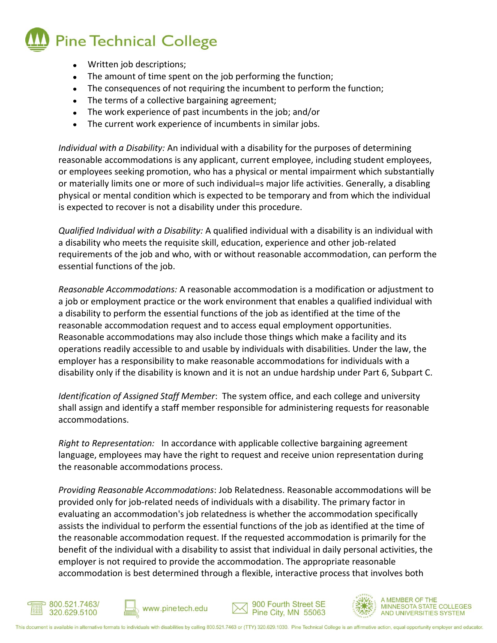

- Written job descriptions;
- The amount of time spent on the job performing the function;
- The consequences of not requiring the incumbent to perform the function;
- The terms of a collective bargaining agreement;
- The work experience of past incumbents in the job; and/or
- The current work experience of incumbents in similar jobs.  $\bullet$

*Individual with a Disability:* An individual with a disability for the purposes of determining reasonable accommodations is any applicant, current employee, including student employees, or employees seeking promotion, who has a physical or mental impairment which substantially or materially limits one or more of such individual=s major life activities. Generally, a disabling physical or mental condition which is expected to be temporary and from which the individual is expected to recover is not a disability under this procedure.

*Qualified Individual with a Disability:* A qualified individual with a disability is an individual with a disability who meets the requisite skill, education, experience and other job-related requirements of the job and who, with or without reasonable accommodation, can perform the essential functions of the job.

*Reasonable Accommodations:* A reasonable accommodation is a modification or adjustment to a job or employment practice or the work environment that enables a qualified individual with a disability to perform the essential functions of the job as identified at the time of the reasonable accommodation request and to access equal employment opportunities. Reasonable accommodations may also include those things which make a facility and its operations readily accessible to and usable by individuals with disabilities. Under the law, the employer has a responsibility to make reasonable accommodations for individuals with a disability only if the disability is known and it is not an undue hardship under Part 6, Subpart C.

*Identification of Assigned Staff Member*: The system office, and each college and university shall assign and identify a staff member responsible for administering requests for reasonable accommodations.

*Right to Representation:* In accordance with applicable collective bargaining agreement language, employees may have the right to request and receive union representation during the reasonable accommodations process.

*Providing Reasonable Accommodations*: Job Relatedness. Reasonable accommodations will be provided only for job-related needs of individuals with a disability. The primary factor in evaluating an accommodation's job relatedness is whether the accommodation specifically assists the individual to perform the essential functions of the job as identified at the time of the reasonable accommodation request. If the requested accommodation is primarily for the benefit of the individual with a disability to assist that individual in daily personal activities, the employer is not required to provide the accommodation. The appropriate reasonable accommodation is best determined through a flexible, interactive process that involves both









**MEMBER OF THE MINNESOTA STATE COLLEGES** AND UNIVERSITIES SYSTEM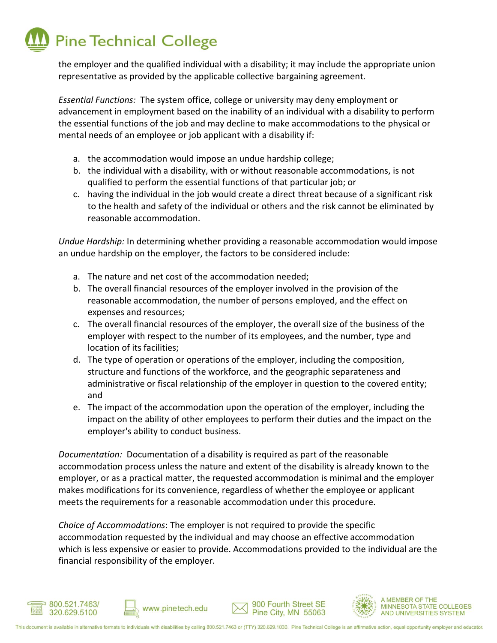# **Pine Technical College**

the employer and the qualified individual with a disability; it may include the appropriate union representative as provided by the applicable collective bargaining agreement.

*Essential Functions:* The system office, college or university may deny employment or advancement in employment based on the inability of an individual with a disability to perform the essential functions of the job and may decline to make accommodations to the physical or mental needs of an employee or job applicant with a disability if:

- a. the accommodation would impose an undue hardship college;
- b. the individual with a disability, with or without reasonable accommodations, is not qualified to perform the essential functions of that particular job; or
- c. having the individual in the job would create a direct threat because of a significant risk to the health and safety of the individual or others and the risk cannot be eliminated by reasonable accommodation.

*Undue Hardship:* In determining whether providing a reasonable accommodation would impose an undue hardship on the employer, the factors to be considered include:

- a. The nature and net cost of the accommodation needed;
- b. The overall financial resources of the employer involved in the provision of the reasonable accommodation, the number of persons employed, and the effect on expenses and resources;
- c. The overall financial resources of the employer, the overall size of the business of the employer with respect to the number of its employees, and the number, type and location of its facilities;
- d. The type of operation or operations of the employer, including the composition, structure and functions of the workforce, and the geographic separateness and administrative or fiscal relationship of the employer in question to the covered entity; and
- e. The impact of the accommodation upon the operation of the employer, including the impact on the ability of other employees to perform their duties and the impact on the employer's ability to conduct business.

*Documentation:* Documentation of a disability is required as part of the reasonable accommodation process unless the nature and extent of the disability is already known to the employer, or as a practical matter, the requested accommodation is minimal and the employer makes modifications for its convenience, regardless of whether the employee or applicant meets the requirements for a reasonable accommodation under this procedure.

*Choice of Accommodations*: The employer is not required to provide the specific accommodation requested by the individual and may choose an effective accommodation which is less expensive or easier to provide. Accommodations provided to the individual are the financial responsibility of the employer.





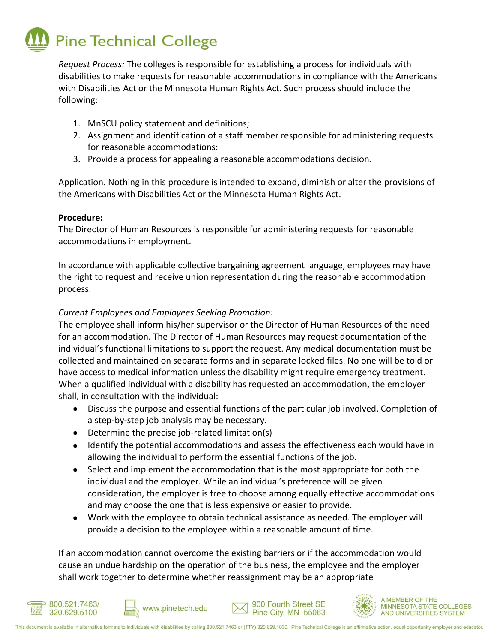# **Pine Technical College**

*Request Process:* The colleges is responsible for establishing a process for individuals with disabilities to make requests for reasonable accommodations in compliance with the Americans with Disabilities Act or the Minnesota Human Rights Act. Such process should include the following:

- 1. MnSCU policy statement and definitions;
- 2. Assignment and identification of a staff member responsible for administering requests for reasonable accommodations:
- 3. Provide a process for appealing a reasonable accommodations decision.

Application. Nothing in this procedure is intended to expand, diminish or alter the provisions of the Americans with Disabilities Act or the Minnesota Human Rights Act.

### **Procedure:**

The Director of Human Resources is responsible for administering requests for reasonable accommodations in employment.

In accordance with applicable collective bargaining agreement language, employees may have the right to request and receive union representation during the reasonable accommodation process.

## *Current Employees and Employees Seeking Promotion:*

The employee shall inform his/her supervisor or the Director of Human Resources of the need for an accommodation. The Director of Human Resources may request documentation of the individual's functional limitations to support the request. Any medical documentation must be collected and maintained on separate forms and in separate locked files. No one will be told or have access to medical information unless the disability might require emergency treatment. When a qualified individual with a disability has requested an accommodation, the employer shall, in consultation with the individual:

- Discuss the purpose and essential functions of the particular job involved. Completion of  $\bullet$ a step-by-step job analysis may be necessary.
- Determine the precise job-related limitation(s)

www.pinetech.edu

- Identify the potential accommodations and assess the effectiveness each would have in allowing the individual to perform the essential functions of the job.
- Select and implement the accommodation that is the most appropriate for both the individual and the employer. While an individual's preference will be given consideration, the employer is free to choose among equally effective accommodations and may choose the one that is less expensive or easier to provide.
- Work with the employee to obtain technical assistance as needed. The employer will provide a decision to the employee within a reasonable amount of time.

If an accommodation cannot overcome the existing barriers or if the accommodation would cause an undue hardship on the operation of the business, the employee and the employer shall work together to determine whether reassignment may be an appropriate







MINNESOTA STATE COLLEGES AND UNIVERSITIES SYSTEM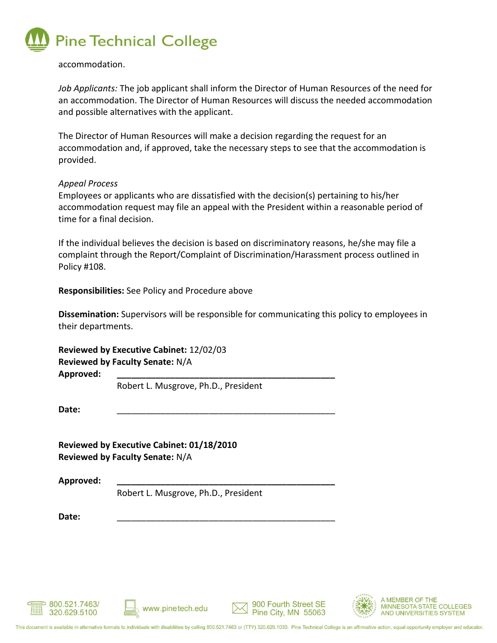

### accommodation.

*Job Applicants:* The job applicant shall inform the Director of Human Resources of the need for an accommodation. The Director of Human Resources will discuss the needed accommodation and possible alternatives with the applicant.

The Director of Human Resources will make a decision regarding the request for an accommodation and, if approved, take the necessary steps to see that the accommodation is provided.

### *Appeal Process*

Employees or applicants who are dissatisfied with the decision(s) pertaining to his/her accommodation request may file an appeal with the President within a reasonable period of time for a final decision.

If the individual believes the decision is based on discriminatory reasons, he/she may file a complaint through the Report/Complaint of Discrimination/Harassment process outlined in Policy #108.

**Responsibilities:** See Policy and Procedure above

**Dissemination:** Supervisors will be responsible for communicating this policy to employees in their departments.

**Reviewed by Executive Cabinet:** 12/02/03 **Reviewed by Faculty Senate:** N/A **Approved: \_\_\_\_\_\_\_\_\_\_\_\_\_\_\_\_\_\_\_\_\_\_\_\_\_\_\_\_\_\_\_\_\_\_\_\_\_\_\_\_\_\_\_\_\_**

Robert L. Musgrove, Ph.D., President

**Date:** \_\_\_\_\_\_\_\_\_\_\_\_\_\_\_\_\_\_\_\_\_\_\_\_\_\_\_\_\_\_\_\_\_\_\_\_\_\_\_\_\_\_\_\_\_

**Reviewed by Executive Cabinet: 01/18/2010 Reviewed by Faculty Senate:** N/A

**Approved: \_\_\_\_\_\_\_\_\_\_\_\_\_\_\_\_\_\_\_\_\_\_\_\_\_\_\_\_\_\_\_\_\_\_\_\_\_\_\_\_\_\_\_\_\_**

Robert L. Musgrove, Ph.D., President

**Date:** \_\_\_\_\_\_\_\_\_\_\_\_\_\_\_\_\_\_\_\_\_\_\_\_\_\_\_\_\_\_\_\_\_\_\_\_\_\_\_\_\_\_\_\_\_